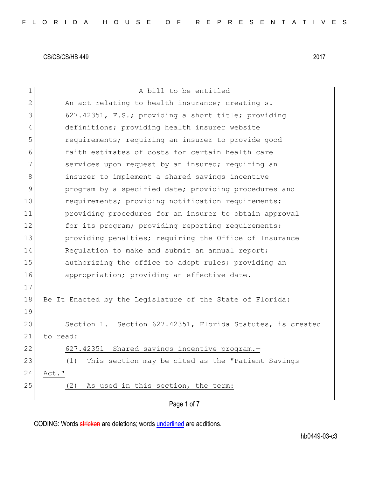| $\mathbf 1$    | A bill to be entitled                                      |
|----------------|------------------------------------------------------------|
| $\overline{2}$ | An act relating to health insurance; creating s.           |
| 3              | 627.42351, F.S.; providing a short title; providing        |
| 4              | definitions; providing health insurer website              |
| 5              | requirements; requiring an insurer to provide good         |
| 6              | faith estimates of costs for certain health care           |
| 7              | services upon request by an insured; requiring an          |
| 8              | insurer to implement a shared savings incentive            |
| 9              | program by a specified date; providing procedures and      |
| 10             | requirements; providing notification requirements;         |
|                |                                                            |
| 11             | providing procedures for an insurer to obtain approval     |
| 12             | for its program; providing reporting requirements;         |
| 13             | providing penalties; requiring the Office of Insurance     |
| 14             | Regulation to make and submit an annual report;            |
| 15             | authorizing the office to adopt rules; providing an        |
| 16             | appropriation; providing an effective date.                |
| 17             |                                                            |
| 18             | Be It Enacted by the Legislature of the State of Florida:  |
| 19             |                                                            |
| 20             | Section 1. Section 627.42351, Florida Statutes, is created |
| 21             | to read:                                                   |
| 22             | Shared savings incentive program.-<br>627.42351            |
| 23             | (1)<br>This section may be cited as the "Patient Savings   |
| 24             | Act."                                                      |
| 25             | As used in this section, the term:<br>(2)                  |
|                |                                                            |
|                | Page 1 of 7                                                |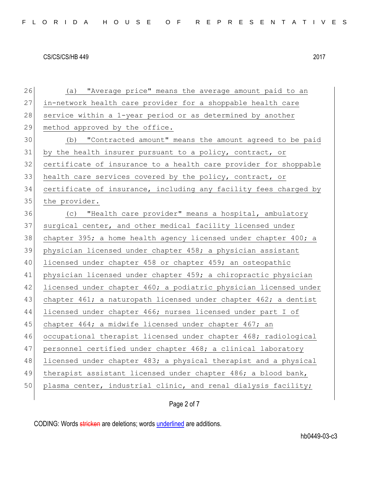| 26     | (a) "Average price" means the average amount paid to an          |
|--------|------------------------------------------------------------------|
| 27     | in-network health care provider for a shoppable health care      |
| 28     | service within a 1-year period or as determined by another       |
| 29     | method approved by the office.                                   |
| 30     | (b) "Contracted amount" means the amount agreed to be paid       |
| 31     | by the health insurer pursuant to a policy, contract, or         |
| 32     | certificate of insurance to a health care provider for shoppable |
| 33     | health care services covered by the policy, contract, or         |
| 34     | certificate of insurance, including any facility fees charged by |
| 35     | the provider.                                                    |
| 36     | (c) "Health care provider" means a hospital, ambulatory          |
| 37     | surgical center, and other medical facility licensed under       |
| 38     | chapter 395; a home health agency licensed under chapter 400; a  |
| 39     | physician licensed under chapter 458; a physician assistant      |
| 40     | licensed under chapter 458 or chapter 459; an osteopathic        |
| 41     | physician licensed under chapter 459; a chiropractic physician   |
| 42     | licensed under chapter 460; a podiatric physician licensed under |
| 43     | chapter 461; a naturopath licensed under chapter 462; a dentist  |
| 44     | licensed under chapter 466; nurses licensed under part I of      |
| 45     | chapter 464; a midwife licensed under chapter 467; an            |
| 46     | occupational therapist licensed under chapter 468; radiological  |
| 47     | personnel certified under chapter 468; a clinical laboratory     |
| $4\,8$ | licensed under chapter 483; a physical therapist and a physical  |
| 49     | therapist assistant licensed under chapter 486; a blood bank,    |
| 50     | plasma center, industrial clinic, and renal dialysis facility;   |
|        |                                                                  |

# Page 2 of 7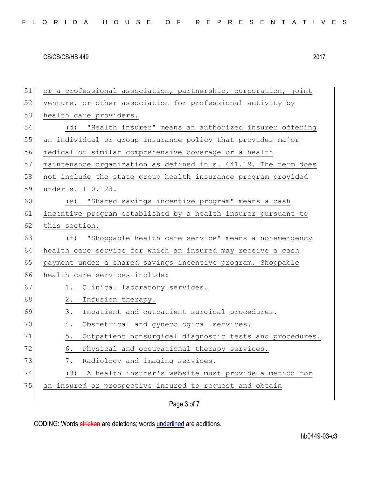| 51 | or a professional association, partnership, corporation, joint  |
|----|-----------------------------------------------------------------|
| 52 | venture, or other association for professional activity by      |
| 53 | health care providers.                                          |
| 54 | "Health insurer" means an authorized insurer offering<br>(d)    |
| 55 | an individual or group insurance policy that provides major     |
| 56 | medical or similar comprehensive coverage or a health           |
| 57 | maintenance organization as defined in s. 641.19. The term does |
| 58 | not include the state group health insurance program provided   |
| 59 | under s. 110.123.                                               |
| 60 | (e) "Shared savings incentive program" means a cash             |
| 61 | incentive program established by a health insurer pursuant to   |
| 62 | this section.                                                   |
| 63 | "Shoppable health care service" means a nonemergency<br>(f)     |
| 64 | health care service for which an insured may receive a cash     |
| 65 | payment under a shared savings incentive program. Shoppable     |
| 66 | health care services include:                                   |
| 67 | Clinical laboratory services.<br>1.                             |
| 68 | Infusion therapy.<br>2.                                         |
| 69 | Inpatient and outpatient surgical procedures.<br>3.             |
| 70 | Obstetrical and gynecological services.<br>4.                   |
| 71 | Outpatient nonsurgical diagnostic tests and procedures.<br>5.   |
| 72 | Physical and occupational therapy services.<br>6.               |
| 73 | Radiology and imaging services.<br>$\frac{1}{2}$ .              |
| 74 | A health insurer's website must provide a method for<br>(3)     |
| 75 | an insured or prospective insured to request and obtain         |
|    |                                                                 |

Page 3 of 7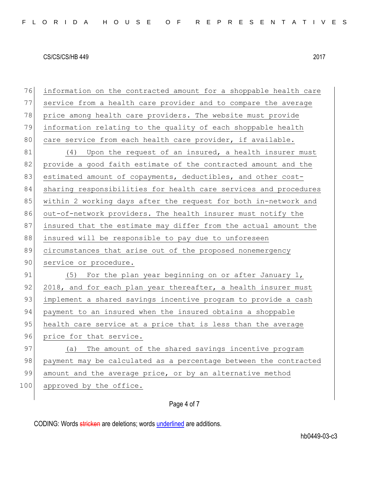76 information on the contracted amount for a shoppable health care 77 service from a health care provider and to compare the average 78 price among health care providers. The website must provide 79 information relating to the quality of each shoppable health 80 care service from each health care provider, if available. 81 (4) Upon the request of an insured, a health insurer must 82 provide a good faith estimate of the contracted amount and the 83 estimated amount of copayments, deductibles, and other cost-84 sharing responsibilities for health care services and procedures 85 within 2 working days after the request for both in-network and 86 out-of-network providers. The health insurer must notify the 87 insured that the estimate may differ from the actual amount the 88 insured will be responsible to pay due to unforeseen 89 circumstances that arise out of the proposed nonemergency 90 service or procedure. 91  $(5)$  For the plan year beginning on or after January 1, 92 2018, and for each plan year thereafter, a health insurer must 93 implement a shared savings incentive program to provide a cash 94 payment to an insured when the insured obtains a shoppable 95 health care service at a price that is less than the average 96 price for that service. 97 (a) The amount of the shared savings incentive program 98 payment may be calculated as a percentage between the contracted 99 amount and the average price, or by an alternative method 100 approved by the office.

#### Page 4 of 7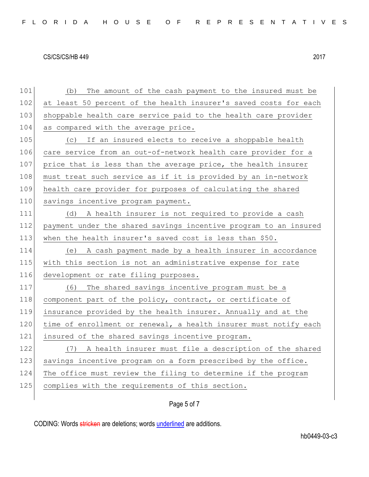101 (b) The amount of the cash payment to the insured must be 102 at least 50 percent of the health insurer's saved costs for each 103 shoppable health care service paid to the health care provider 104 as compared with the average price. 105  $\vert$  (c) If an insured elects to receive a shoppable health 106 care service from an out-of-network health care provider for a 107 price that is less than the average price, the health insurer 108 must treat such service as if it is provided by an in-network 109 health care provider for purposes of calculating the shared 110 savings incentive program payment. 111 (d) A health insurer is not required to provide a cash 112 payment under the shared savings incentive program to an insured 113 when the health insurer's saved cost is less than \$50. 114 (e) A cash payment made by a health insurer in accordance 115 with this section is not an administrative expense for rate 116 development or rate filing purposes. 117 (6) The shared savings incentive program must be a 118 component part of the policy, contract, or certificate of 119 insurance provided by the health insurer. Annually and at the  $120$  time of enrollment or renewal, a health insurer must notify each 121 insured of the shared savings incentive program. 122 (7) A health insurer must file a description of the shared 123 savings incentive program on a form prescribed by the office. 124 The office must review the filing to determine if the program 125 complies with the requirements of this section.

#### Page 5 of 7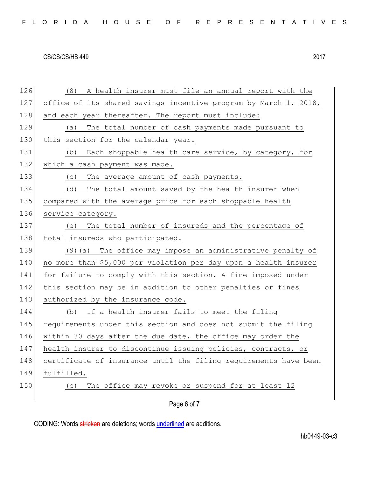|  |  |  |  |  |  |  |  |  |  | FLORIDA HOUSE OF REPRESENTATIVES |  |  |  |  |  |  |  |  |  |  |  |  |  |  |  |  |
|--|--|--|--|--|--|--|--|--|--|----------------------------------|--|--|--|--|--|--|--|--|--|--|--|--|--|--|--|--|
|--|--|--|--|--|--|--|--|--|--|----------------------------------|--|--|--|--|--|--|--|--|--|--|--|--|--|--|--|--|

| 126 | A health insurer must file an annual report with the<br>(8)      |
|-----|------------------------------------------------------------------|
| 127 | office of its shared savings incentive program by March 1, 2018, |
| 128 | and each year thereafter. The report must include:               |
| 129 | The total number of cash payments made pursuant to<br>(a)        |
| 130 | this section for the calendar year.                              |
| 131 | Each shoppable health care service, by category, for<br>(b)      |
| 132 | which a cash payment was made.                                   |
| 133 | The average amount of cash payments.<br>(C)                      |
| 134 | The total amount saved by the health insurer when<br>(d)         |
| 135 | compared with the average price for each shoppable health        |
| 136 | service category.                                                |
| 137 | The total number of insureds and the percentage of<br>(e)        |
| 138 | total insureds who participated.                                 |
| 139 | (9) (a) The office may impose an administrative penalty of       |
| 140 | no more than \$5,000 per violation per day upon a health insurer |
| 141 | for failure to comply with this section. A fine imposed under    |
| 142 | this section may be in addition to other penalties or fines      |
| 143 | authorized by the insurance code.                                |
| 144 | If a health insurer fails to meet the filing<br>(b)              |
| 145 | requirements under this section and does not submit the filing   |
| 146 | within 30 days after the due date, the office may order the      |
| 147 | health insurer to discontinue issuing policies, contracts, or    |
| 148 | certificate of insurance until the filing requirements have been |
| 149 | fulfilled.                                                       |
| 150 | The office may revoke or suspend for at least 12<br>(C)          |
|     |                                                                  |

Page 6 of 7